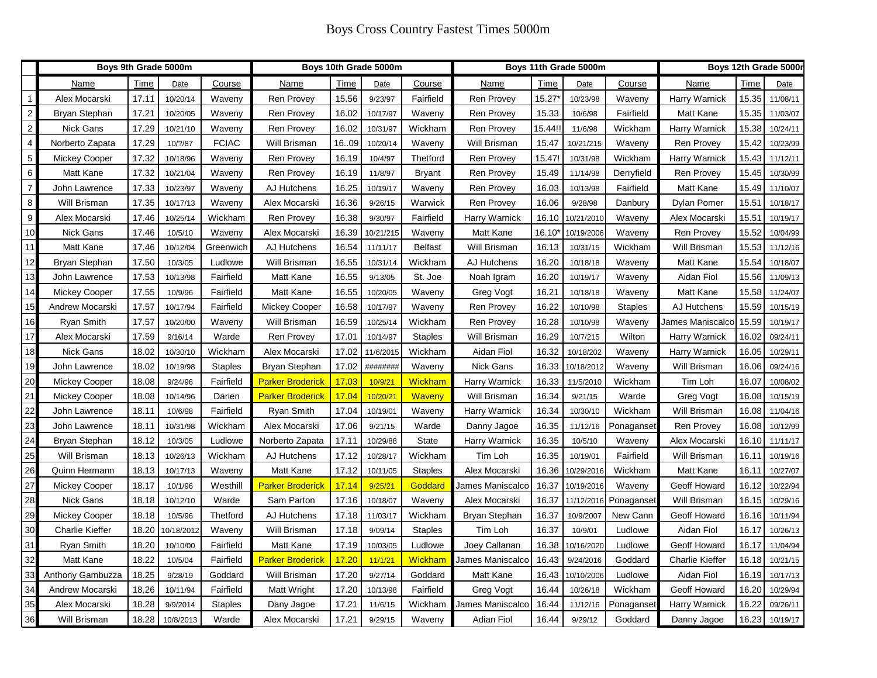|    | Boys 9th Grade 5000m |       |            |                | Boys 10th Grade 5000m   |       |           |                | Boys 11th Grade 5000m |        |            |                | Boys 12th Grade 5000r  |       |          |
|----|----------------------|-------|------------|----------------|-------------------------|-------|-----------|----------------|-----------------------|--------|------------|----------------|------------------------|-------|----------|
|    | Name                 | Time  | Date       | Course         | Name                    | Time  | Date      | Course         | Name                  | Time   | Date       | Course         | Name                   | Time  | Date     |
|    | Alex Mocarski        | 17.11 | 10/20/14   | Waveny         | <b>Ren Provey</b>       | 15.56 | 9/23/97   | Fairfield      | Ren Provey            | 15.27  | 10/23/98   | Waveny         | Harry Warnick          | 15.35 | 11/08/11 |
| 2  | Bryan Stephan        | 17.21 | 10/20/05   | Waveny         | <b>Ren Provey</b>       | 16.02 | 10/17/97  | Waveny         | <b>Ren Provey</b>     | 15.33  | 10/6/98    | Fairfield      | Matt Kane              | 15.35 | 11/03/07 |
| 2  | Nick Gans            | 17.29 | 10/21/10   | Waveny         | Ren Provey              | 16.02 | 10/31/97  | Wickham        | <b>Ren Provey</b>     | 15.44! | 11/6/98    | Wickham        | Harry Warnick          | 15.38 | 10/24/11 |
| 4  | Norberto Zapata      | 17.29 | 10/?/87    | <b>FCIAC</b>   | Will Brisman            | 1609  | 10/20/14  | Waveny         | Will Brisman          | 15.47  | 10/21/215  | Waveny         | <b>Ren Provey</b>      | 15.42 | 10/23/99 |
| 5  | Mickey Cooper        | 17.32 | 10/18/96   | Waveny         | <b>Ren Provey</b>       | 16.19 | 10/4/97   | Thetford       | Ren Provey            | 15.47  | 10/31/98   | Wickham        | Harry Warnick          | 15.43 | 11/12/11 |
| 6  | Matt Kane            | 17.32 | 10/21/04   | Waveny         | <b>Ren Provey</b>       | 16.19 | 11/8/97   | Bryant         | Ren Provey            | 15.49  | 11/14/98   | Derryfield     | <b>Ren Provey</b>      | 15.45 | 10/30/99 |
| 7  | John Lawrence        | 17.33 | 10/23/97   | Waveny         | AJ Hutchens             | 16.25 | 10/19/17  | Waveny         | <b>Ren Provey</b>     | 16.03  | 10/13/98   | Fairfield      | Matt Kane              | 15.49 | 11/10/07 |
| 8  | Will Brisman         | 17.35 | 10/17/13   | Waveny         | Alex Mocarski           | 16.36 | 9/26/15   | Warwick        | <b>Ren Provey</b>     | 16.06  | 9/28/98    | Danbury        | Dylan Pomer            | 15.51 | 10/18/17 |
| 9  | Alex Mocarski        | 17.46 | 10/25/14   | Wickham        | <b>Ren Provey</b>       | 16.38 | 9/30/97   | Fairfield      | Harry Warnick         | 16.10  | 10/21/2010 | Waveny         | Alex Mocarski          | 15.51 | 10/19/17 |
| 10 | <b>Nick Gans</b>     | 17.46 | 10/5/10    | Waveny         | Alex Mocarski           | 16.39 | 10/21/215 | Waveny         | Matt Kane             | 16.10  | 10/19/2006 | Waveny         | Ren Provey             | 15.52 | 10/04/99 |
| 11 | Matt Kane            | 17.46 | 10/12/04   | Greenwich      | AJ Hutchens             | 16.54 | 11/11/17  | <b>Belfast</b> | Will Brisman          | 16.13  | 10/31/15   | Wickham        | Will Brisman           | 15.53 | 11/12/16 |
| 12 | Bryan Stephan        | 17.50 | 10/3/05    | Ludlowe        | Will Brisman            | 16.55 | 10/31/14  | Wickham        | AJ Hutchens           | 16.20  | 10/18/18   | Waveny         | Matt Kane              | 15.54 | 10/18/07 |
| 13 | John Lawrence        | 17.53 | 10/13/98   | Fairfield      | Matt Kane               | 16.55 | 9/13/05   | St. Joe        | Noah Igram            | 16.20  | 10/19/17   | Waveny         | Aidan Fiol             | 15.56 | 11/09/13 |
| 14 | Mickey Cooper        | 17.55 | 10/9/96    | Fairfield      | Matt Kane               | 16.55 | 10/20/05  | Waveny         | Greg Vogt             | 16.21  | 10/18/18   | Waveny         | Matt Kane              | 15.58 | 11/24/07 |
| 15 | Andrew Mocarski      | 17.57 | 10/17/94   | Fairfield      | <b>Mickey Cooper</b>    | 16.58 | 10/17/97  | Waveny         | <b>Ren Provey</b>     | 16.22  | 10/10/98   | <b>Staples</b> | AJ Hutchens            | 15.59 | 10/15/19 |
| 16 | Ryan Smith           | 17.57 | 10/20/00   | Waveny         | Will Brisman            | 16.59 | 10/25/14  | Wickham        | <b>Ren Provey</b>     | 16.28  | 10/10/98   | Waveny         | James Maniscalco       | 15.59 | 10/19/17 |
| 17 | Alex Mocarski        | 17.59 | 9/16/14    | Warde          | <b>Ren Provey</b>       | 17.01 | 10/14/97  | <b>Staples</b> | Will Brisman          | 16.29  | 10/7/215   | Wilton         | Harry Warnick          | 16.02 | 09/24/11 |
| 18 | Nick Gans            | 18.02 | 10/30/10   | Wickham        | Alex Mocarski           | 17.02 | 11/6/2015 | Wickham        | Aidan Fiol            | 16.32  | 10/18/202  | Waveny         | Harry Warnick          | 16.05 | 10/29/11 |
| 19 | John Lawrence        | 18.02 | 10/19/98   | Staples        | Bryan Stephan           | 17.02 | ########  | Waveny         | <b>Nick Gans</b>      | 16.33  | 10/18/201  | Waveny         | Will Brisman           | 16.06 | 09/24/16 |
| 20 | Mickey Cooper        | 18.08 | 9/24/96    | Fairfield      | <b>Parker Broderick</b> | 17.03 | 10/9/21   | <b>Wickham</b> | Harry Warnick         | 16.33  | 11/5/2010  | Wickham        | Tim Loh                | 16.07 | 10/08/02 |
| 21 | Mickey Cooper        | 18.08 | 10/14/96   | Darien         | <b>Parker Broderick</b> | 17.04 | 10/20/21  | <b>Waveny</b>  | Will Brisman          | 16.34  | 9/21/15    | Warde          | Greg Vogt              | 16.08 | 10/15/19 |
| 22 | John Lawrence        | 18.11 | 10/6/98    | Fairfield      | Ryan Smith              | 17.04 | 10/19/01  | Waveny         | Harry Warnick         | 16.34  | 10/30/10   | Wickham        | Will Brisman           | 16.08 | 11/04/16 |
| 23 | John Lawrence        | 18.11 | 10/31/98   | Wickham        | Alex Mocarski           | 17.06 | 9/21/15   | Warde          | Danny Jagoe           | 16.35  | 11/12/16   | Ponaganset     | <b>Ren Provey</b>      | 16.08 | 10/12/99 |
| 24 | Bryan Stephan        | 18.12 | 10/3/05    | Ludlowe        | Norberto Zapata         | 17.11 | 10/29/88  | <b>State</b>   | Harry Warnick         | 16.35  | 10/5/10    | Waveny         | Alex Mocarski          | 16.10 | 11/11/17 |
| 25 | Will Brisman         | 18.13 | 10/26/13   | Wickham        | AJ Hutchens             | 17.12 | 10/28/17  | Wickham        | Tim Loh               | 16.35  | 10/19/01   | Fairfield      | Will Brisman           | 16.11 | 10/19/16 |
| 26 | Quinn Hermann        | 18.13 | 10/17/13   | Waveny         | Matt Kane               | 17.12 | 10/11/05  | <b>Staples</b> | Alex Mocarski         | 16.36  | 10/29/201  | Wickham        | Matt Kane              | 16.11 | 10/27/07 |
| 27 | <b>Mickey Cooper</b> | 18.17 | 10/1/96    | Westhill       | <b>Parker Broderick</b> | 17.14 | 9/25/21   | Goddard        | James Maniscalco      | 16.37  | 10/19/2016 | Waveny         | Geoff Howard           | 16.12 | 10/22/94 |
| 28 | Nick Gans            | 18.18 | 10/12/10   | Warde          | Sam Parton              | 17.16 | 10/18/07  | Waveny         | Alex Mocarski         | 16.37  | 11/12/2016 | Ponaganset     | Will Brisman           | 16.15 | 10/29/16 |
| 29 | Mickey Cooper        | 18.18 | 10/5/96    | Thetford       | AJ Hutchens             | 17.18 | 11/03/17  | Wickham        | Bryan Stephan         | 16.37  | 10/9/2007  | New Cann       | Geoff Howard           | 16.16 | 10/11/94 |
| 30 | Charlie Kieffer      | 18.20 | 10/18/2012 | Waveny         | Will Brisman            | 17.18 | 9/09/14   | <b>Staples</b> | Tim Loh               | 16.37  | 10/9/01    | Ludlowe        | Aidan Fiol             | 16.17 | 10/26/13 |
| 31 | Ryan Smith           | 18.20 | 10/10/00   | Fairfield      | Matt Kane               | 17.19 | 10/03/05  | Ludlowe        | Joey Callanan         | 16.38  | 10/16/202  | Ludlowe        | Geoff Howard           | 16.17 | 11/04/94 |
| 32 | Matt Kane            | 18.22 | 10/5/04    | Fairfield      | <b>Parker Broderick</b> | 17.20 | 11/1/21   | <b>Wickham</b> | James Maniscalco      | 16.43  | 9/24/2016  | Goddard        | <b>Charlie Kieffer</b> | 16.18 | 10/21/15 |
| 33 | Anthony Gambuzza     | 18.25 | 9/28/19    | Goddard        | Will Brisman            | 17.20 | 9/27/14   | Goddard        | Matt Kane             | 16.43  | 10/10/2006 | Ludlowe        | Aidan Fiol             | 16.19 | 10/17/13 |
| 34 | Andrew Mocarski      | 18.26 | 10/11/94   | Fairfield      | Matt Wright             | 17.20 | 10/13/98  | Fairfield      | Greg Vogt             | 16.44  | 10/26/18   | Wickham        | Geoff Howard           | 16.20 | 10/29/94 |
| 35 | Alex Mocarski        | 18.28 | 9/9/2014   | <b>Staples</b> | Dany Jagoe              | 17.21 | 11/6/15   | Wickham        | James Maniscalco      | 16.44  | 11/12/16   | Ponaganset     | Harry Warnick          | 16.22 | 09/26/11 |
| 36 | Will Brisman         | 18.28 | 10/8/2013  | Warde          | Alex Mocarski           | 17.21 | 9/29/15   | Waveny         | Adian Fiol            | 16.44  | 9/29/12    | Goddard        | Danny Jagoe            | 16.23 | 10/19/17 |